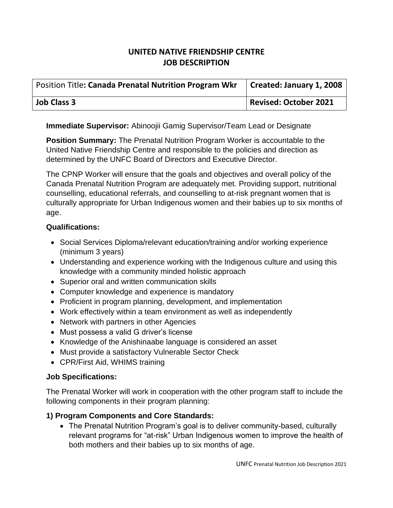# **UNITED NATIVE FRIENDSHIP CENTRE JOB DESCRIPTION**

| <b>Position Title: Canada Prenatal Nutrition Program Wkr</b> | Created: January 1, 2008 |
|--------------------------------------------------------------|--------------------------|
| <b>Job Class 3</b>                                           | Revised: October 2021    |

**Immediate Supervisor:** Abinoojii Gamig Supervisor/Team Lead or Designate

**Position Summary:** The Prenatal Nutrition Program Worker is accountable to the United Native Friendship Centre and responsible to the policies and direction as determined by the UNFC Board of Directors and Executive Director.

The CPNP Worker will ensure that the goals and objectives and overall policy of the Canada Prenatal Nutrition Program are adequately met. Providing support, nutritional counselling, educational referrals, and counselling to at-risk pregnant women that is culturally appropriate for Urban Indigenous women and their babies up to six months of age.

## **Qualifications:**

- Social Services Diploma/relevant education/training and/or working experience (minimum 3 years)
- Understanding and experience working with the Indigenous culture and using this knowledge with a community minded holistic approach
- Superior oral and written communication skills
- Computer knowledge and experience is mandatory
- Proficient in program planning, development, and implementation
- Work effectively within a team environment as well as independently
- Network with partners in other Agencies
- Must possess a valid G driver's license
- Knowledge of the Anishinaabe language is considered an asset
- Must provide a satisfactory Vulnerable Sector Check
- CPR/First Aid, WHIMS training

#### **Job Specifications:**

The Prenatal Worker will work in cooperation with the other program staff to include the following components in their program planning:

## **1) Program Components and Core Standards:**

• The Prenatal Nutrition Program's goal is to deliver community-based, culturally relevant programs for "at-risk" Urban Indigenous women to improve the health of both mothers and their babies up to six months of age.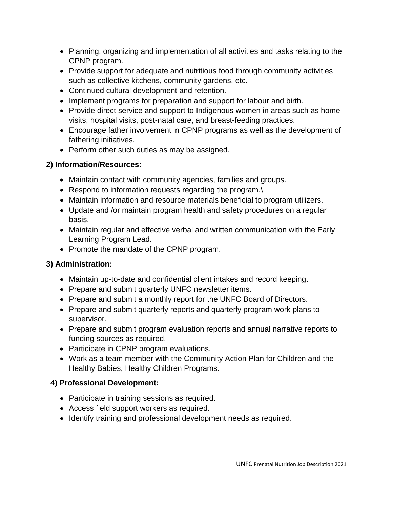- Planning, organizing and implementation of all activities and tasks relating to the CPNP program.
- Provide support for adequate and nutritious food through community activities such as collective kitchens, community gardens, etc.
- Continued cultural development and retention.
- Implement programs for preparation and support for labour and birth.
- Provide direct service and support to Indigenous women in areas such as home visits, hospital visits, post-natal care, and breast-feeding practices.
- Encourage father involvement in CPNP programs as well as the development of fathering initiatives.
- Perform other such duties as may be assigned.

# **2) Information/Resources:**

- Maintain contact with community agencies, families and groups.
- Respond to information requests regarding the program.\
- Maintain information and resource materials beneficial to program utilizers.
- Update and /or maintain program health and safety procedures on a regular basis.
- Maintain regular and effective verbal and written communication with the Early Learning Program Lead.
- Promote the mandate of the CPNP program.

# **3) Administration:**

- Maintain up-to-date and confidential client intakes and record keeping.
- Prepare and submit quarterly UNFC newsletter items.
- Prepare and submit a monthly report for the UNFC Board of Directors.
- Prepare and submit quarterly reports and quarterly program work plans to supervisor.
- Prepare and submit program evaluation reports and annual narrative reports to funding sources as required.
- Participate in CPNP program evaluations.
- Work as a team member with the Community Action Plan for Children and the Healthy Babies, Healthy Children Programs.

# **4) Professional Development:**

- Participate in training sessions as required.
- Access field support workers as required.
- Identify training and professional development needs as required.